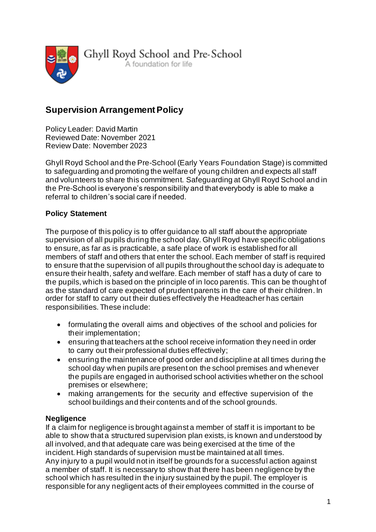

Ghyll Royd School and Pre-School A foundation for life

# **Supervision Arrangement Policy**

Policy Leader: David Martin Reviewed Date: November 2021 Review Date: November 2023

Ghyll Royd School and the Pre-School (Early Years Foundation Stage) is committed to safeguarding and promoting the welfare of young children and expects all staff and volunteers to share this commitment. Safeguarding at Ghyll Royd School and in the Pre-School is everyone's responsibility and that everybody is able to make a referral to children's social care if needed.

# **Policy Statement**

The purpose of this policy is to offer guidance to all staff about the appropriate supervision of all pupils during the school day. Ghyll Royd have specific obligations to ensure, as far as is practicable, a safe place of work is established for all members of staff and others that enter the school. Each member of staff is required to ensure that the supervision of all pupils throughout the school day is adequate to ensure their health, safety and welfare. Each member of staff has a duty of care to the pupils, which is based on the principle of in loco parentis. This can be thought of as the standard of care expected of prudent parents in the care of their children. In order for staff to carry out their duties effectively the Headteacher has certain responsibilities. These include:

- formulating the overall aims and objectives of the school and policies for their implementation;
- ensuring that teachers at the school receive information they need in order to carry out their professional duties effectively;
- ensuring the maintenance of good order and discipline at all times during the school day when pupils are present on the school premises and whenever the pupils are engaged in authorised school activities whether on the school premises or elsewhere;
- making arrangements for the security and effective supervision of the school buildings and their contents and of the school grounds.

# **Negligence**

If a claim for negligence is brought against a member of staff it is important to be able to show that a structured supervision plan exists, is known and understood by all involved, and that adequate care was being exercised at the time of the incident. High standards of supervision must be maintained at all times. Any injury to a pupil would not in itself be grounds for a successful action against a member of staff. It is necessary to show that there has been negligence by the school which has resulted in the injury sustained by the pupil. The employer is responsible for any negligent acts of their employees committed in the course of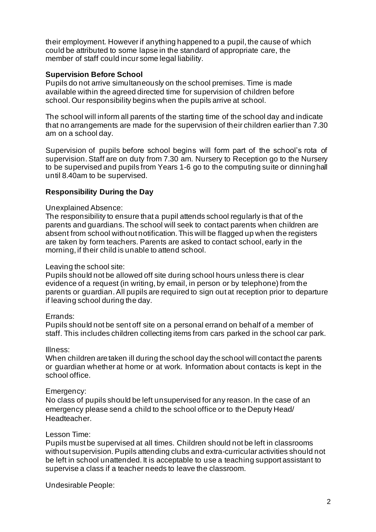their employment. However if anything happened to a pupil, the cause of which could be attributed to some lapse in the standard of appropriate care, the member of staff could incur some legal liability.

### **Supervision Before School**

Pupils do not arrive simultaneously on the school premises. Time is made available within the agreed directed time for supervision of children before school. Our responsibility begins when the pupils arrive at school.

The school will inform all parents of the starting time of the school day and indicate that no arrangements are made for the supervision of their children earlier than 7.30 am on a school day.

Supervision of pupils before school begins will form part of the school's rota of supervision. Staff are on duty from 7.30 am. Nursery to Reception go to the Nursery to be supervised and pupils from Years 1-6 go to the computing suite or dinning hall until 8.40am to be supervised.

### **Responsibility During the Day**

#### Unexplained Absence:

The responsibility to ensure that a pupil attends school regularly is that of the parents and guardians. The school will seek to contact parents when children are absent from school without notification. This will be flagged up when the registers are taken by form teachers. Parents are asked to contact school, early in the morning, if their child is unable to attend school.

#### Leaving the school site:

Pupils should not be allowed off site during school hours unless there is clear evidence of a request (in writing, by email, in person or by telephone) from the parents or guardian. All pupils are required to sign out at reception prior to departure if leaving school during the day.

### Errands:

Pupils should not be sent off site on a personal errand on behalf of a member of staff. This includes children collecting items from cars parked in the school car park.

### Illness:

When children are taken ill during the school day the school will contact the parents or guardian whether at home or at work. Information about contacts is kept in the school office.

### Emergency:

No class of pupils should be left unsupervised for any reason. In the case of an emergency please send a child to the school office or to the Deputy Head/ Headteacher.

### Lesson Time:

Pupils must be supervised at all times. Children should not be left in classrooms without supervision. Pupils attending clubs and extra-curricular activities should not be left in school unattended. It is acceptable to use a teaching support assistant to supervise a class if a teacher needs to leave the classroom.

Undesirable People: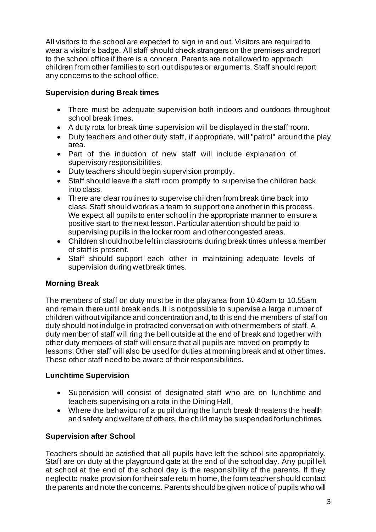All visitors to the school are expected to sign in and out. Visitors are required to wear a visitor's badge. All staff should check strangers on the premises and report to the school office if there is a concern. Parents are not allowed to approach children from other families to sort out disputes or arguments. Staff should report any concerns to the school office.

# **Supervision during Break times**

- There must be adequate supervision both indoors and outdoors throughout school break times.
- A duty rota for break time supervision will be displayed in the staff room.
- Duty teachers and other duty staff, if appropriate, will "patrol" around the play area.
- Part of the induction of new staff will include explanation of supervisory responsibilities.
- Duty teachers should begin supervision promptly.
- Staff should leave the staff room promptly to supervise the children back into class.
- There are clear routines to supervise children from break time back into class. Staff should work as a team to support one another in this process. We expect all pupils to enter school in the appropriate manner to ensure a positive start to the next lesson. Particular attention should be paid to supervising pupils in the locker room and other congested areas.
- Children should not be left in classrooms during break times unless a member of staff is present.
- Staff should support each other in maintaining adequate levels of supervision during wet break times.

# **Morning Break**

The members of staff on duty must be in the play area from 10.40am to 10.55am and remain there until break ends. It is not possible to supervise a large number of children without vigilance and concentration and, to this end the members of staff on duty should not indulge in protracted conversation with other members of staff. A duty member of staff will ring the bell outside at the end of break and together with other duty members of staff will ensure that all pupils are moved on promptly to lessons. Other staff will also be used for duties at morning break and at other times. These other staff need to be aware of their responsibilities.

# **Lunchtime Supervision**

- Supervision will consist of designated staff who are on lunchtime and teachers supervising on a rota in the Dining Hall.
- Where the behaviour of a pupil during the lunch break threatens the health and safety and welfare of others, the child may be suspended for lunchtimes.

# **Supervision after School**

Teachers should be satisfied that all pupils have left the school site appropriately. Staff are on duty at the playground gate at the end of the school day. Any pupil left at school at the end of the school day is the responsibility of the parents. If they neglect to make provision for their safe return home, the form teacher should contact the parents and note the concerns. Parents should be given notice of pupils who will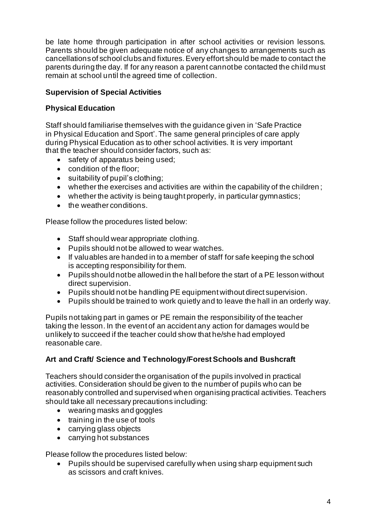be late home through participation in after school activities or revision lessons. Parents should be given adequate notice of any changes to arrangements such as cancellations of school clubs and fixtures. Every effort should be made to contact the parents during the day. If for any reason a parent cannot be contacted the child must remain at school until the agreed time of collection.

# **Supervision of Special Activities**

# **Physical Education**

Staff should familiarise themselves with the guidance given in 'Safe Practice in Physical Education and Sport'. The same general principles of care apply during Physical Education as to other school activities. It is very important that the teacher should consider factors, such as:

- safety of apparatus being used;
- condition of the floor;
- suitability of pupil's clothing;
- whether the exercises and activities are within the capability of the children ;
- whether the activity is being taught properly, in particular gymnastics;
- the weather conditions.

Please follow the procedures listed below:

- Staff should wear appropriate clothing.
- Pupils should not be allowed to wear watches.
- If valuables are handed in to a member of staff for safe keeping the school is accepting responsibility for them.
- Pupils should not be allowed in the hall before the start of a PE lesson without direct supervision.
- Pupils should not be handling PE equipment without direct supervision.
- Pupils should be trained to work quietly and to leave the hall in an orderly way.

Pupils not taking part in games or PE remain the responsibility of the teacher taking the lesson. In the event of an accident any action for damages would be unlikely to succeed if the teacher could show that he/she had employed reasonable care.

# **Art and Craft/ Science and Technology/Forest Schools and Bushcraft**

Teachers should consider the organisation of the pupils involved in practical activities. Consideration should be given to the number of pupils who can be reasonably controlled and supervised when organising practical activities. Teachers should take all necessary precautions including:

- wearing masks and goggles
- training in the use of tools
- carrying glass objects
- carrying hot substances

Please follow the procedures listed below:

• Pupils should be supervised carefully when using sharp equipment such as scissors and craft knives.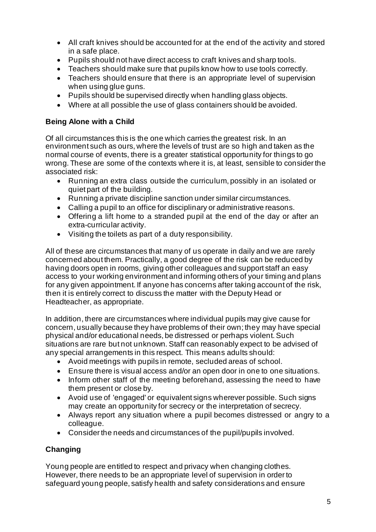- All craft knives should be accounted for at the end of the activity and stored in a safe place.
- Pupils should not have direct access to craft knives and sharp tools.
- Teachers should make sure that pupils know how to use tools correctly.
- Teachers should ensure that there is an appropriate level of supervision when using glue guns.
- Pupils should be supervised directly when handling glass objects.
- Where at all possible the use of glass containers should be avoided.

### **Being Alone with a Child**

Of all circumstances this is the one which carries the greatest risk. In an environment such as ours, where the levels of trust are so high and taken as the normal course of events, there is a greater statistical opportunity for things to go wrong. These are some of the contexts where it is, at least, sensible to consider the associated risk:

- Running an extra class outside the curriculum, possibly in an isolated or quiet part of the building.
- Running a private discipline sanction under similar circumstances.
- Calling a pupil to an office for disciplinary or administrative reasons.
- Offering a lift home to a stranded pupil at the end of the day or after an extra-curricular activity.
- Visiting the toilets as part of a duty responsibility.

All of these are circumstances that many of us operate in daily and we are rarely concerned about them. Practically, a good degree of the risk can be reduced by having doors open in rooms, giving other colleagues and support staff an easy access to your working environment and informing others of your timing and plans for any given appointment. If anyone has concerns after taking account of the risk, then it is entirely correct to discuss the matter with the Deputy Head or Headteacher, as appropriate.

In addition, there are circumstances where individual pupils may give cause for concern, usually because they have problems of their own; they may have special physical and/or educational needs, be distressed or perhaps violent. Such situations are rare but not unknown. Staff can reasonably expect to be advised of any special arrangements in this respect. This means adults should:

- Avoid meetings with pupils in remote, secluded areas of school.
- Ensure there is visual access and/or an open door in one to one situations.
- Inform other staff of the meeting beforehand, assessing the need to have them present or close by.
- Avoid use of 'engaged' or equivalent signs wherever possible. Such signs may create an opportunity for secrecy or the interpretation of secrecy.
- Always report any situation where a pupil becomes distressed or angry to a colleague.
- Consider the needs and circumstances of the pupil/pupils involved.

# **Changing**

Young people are entitled to respect and privacy when changing clothes. However, there needs to be an appropriate level of supervision in order to safeguard young people, satisfy health and safety considerations and ensure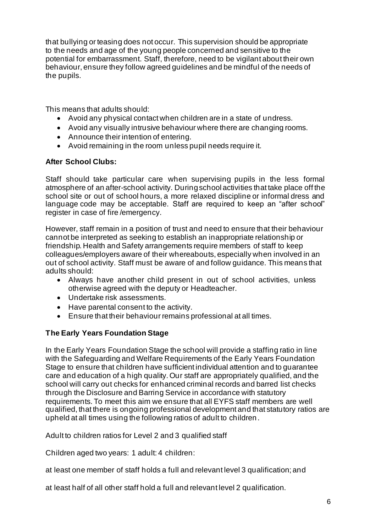that bullying or teasing does not occur. This supervision should be appropriate to the needs and age of the young people concerned and sensitive to the potential for embarrassment. Staff, therefore, need to be vigilant about their own behaviour, ensure they follow agreed guidelines and be mindful of the needs of the pupils.

This means that adults should:

- Avoid any physical contact when children are in a state of undress.
- Avoid any visually intrusive behaviour where there are changing rooms.
- Announce their intention of entering.
- Avoid remaining in the room unless pupil needs require it.

### **After School Clubs:**

Staff should take particular care when supervising pupils in the less formal atmosphere of an after-school activity. During school activities that take place off the school site or out of school hours, a more relaxed discipline or informal dress and language code may be acceptable. Staff are required to keep an "after school" register in case of fire /emergency.

However, staff remain in a position of trust and need to ensure that their behaviour cannot be interpreted as seeking to establish an inappropriate relationship or friendship. Health and Safety arrangements require members of staff to keep colleagues/employers aware of their whereabouts, especially when involved in an out of school activity. Staff must be aware of and follow guidance. This means that adults should:

- Always have another child present in out of school activities, unless otherwise agreed with the deputy or Headteacher.
- Undertake risk assessments.
- Have parental consent to the activity.
- Ensure that their behaviour remains professional at all times.

# **The Early Years Foundation Stage**

In the Early Years Foundation Stage the school will provide a staffing ratio in line with the Safeguarding and Welfare Requirements of the Early Years Foundation Stage to ensure that children have sufficient individual attention and to guarantee care and education of a high quality. Our staff are appropriately qualified, and the school will carry out checks for enhanced criminal records and barred list checks through the Disclosure and Barring Service in accordance with statutory requirements. To meet this aim we ensure that all EYFS staff members are well qualified, that there is ongoing professional development and that statutory ratios are upheld at all times using the following ratios of adult to children.

Adult to children ratios for Level 2 and 3 qualified staff

Children aged two years: 1 adult: 4 children:

at least one member of staff holds a full and relevant level 3 qualification; and

at least half of all other staff hold a full and relevant level 2 qualification.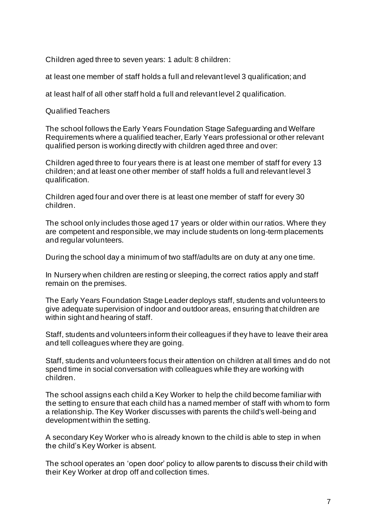Children aged three to seven years: 1 adult: 8 children:

at least one member of staff holds a full and relevant level 3 qualification; and

at least half of all other staff hold a full and relevant level 2 qualification.

Qualified Teachers

The school follows the Early Years Foundation Stage Safeguarding and Welfare Requirements where a qualified teacher, Early Years professional or other relevant qualified person is working directly with children aged three and over:

Children aged three to four years there is at least one member of staff for every 13 children; and at least one other member of staff holds a full and relevant level 3 qualification.

Children aged four and over there is at least one member of staff for every 30 children.

The school only includes those aged 17 years or older within our ratios. Where they are competent and responsible, we may include students on long-term placements and regular volunteers.

During the school day a minimum of two staff/adults are on duty at any one time.

In Nursery when children are resting or sleeping, the correct ratios apply and staff remain on the premises.

The Early Years Foundation Stage Leader deploys staff, students and volunteers to give adequate supervision of indoor and outdoor areas, ensuring that children are within sight and hearing of staff.

Staff, students and volunteers inform their colleagues if they have to leave their area and tell colleagues where they are going.

Staff, students and volunteers focus their attention on children at all times and do not spend time in social conversation with colleagues while they are working with children.

The school assigns each child a Key Worker to help the child become familiar with the setting to ensure that each child has a named member of staff with whom to form a relationship. The Key Worker discusses with parents the child's well-being and development within the setting.

A secondary Key Worker who is already known to the child is able to step in when the child's Key Worker is absent.

The school operates an 'open door' policy to allow parents to discuss their child with their Key Worker at drop off and collection times.